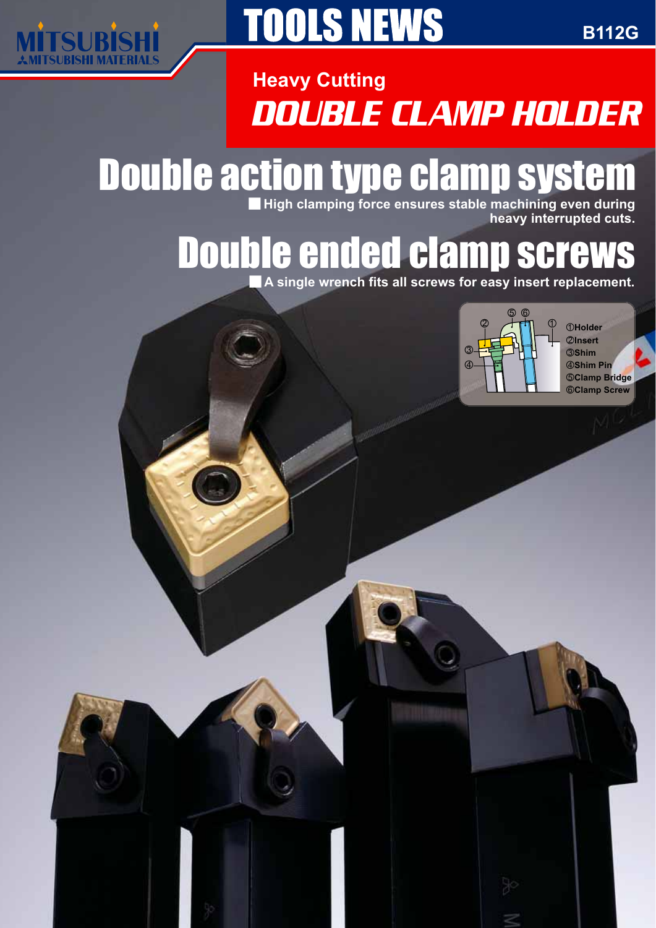

## **TOOLS NEWS**

**B112G**

### **Heavy Cutting** DOUBLE CLAMP HOLDER

# Double action type clamp system

**High clamping force ensures stable machining even during heavy interrupted cuts.**

### Double ended clamp screy

A single wrench fits all screws for easy insert replacement.



z**Holder** x**Insert** c**Shim 49Shim Pin** b**Clamp Bridge ©Clamp Screw**